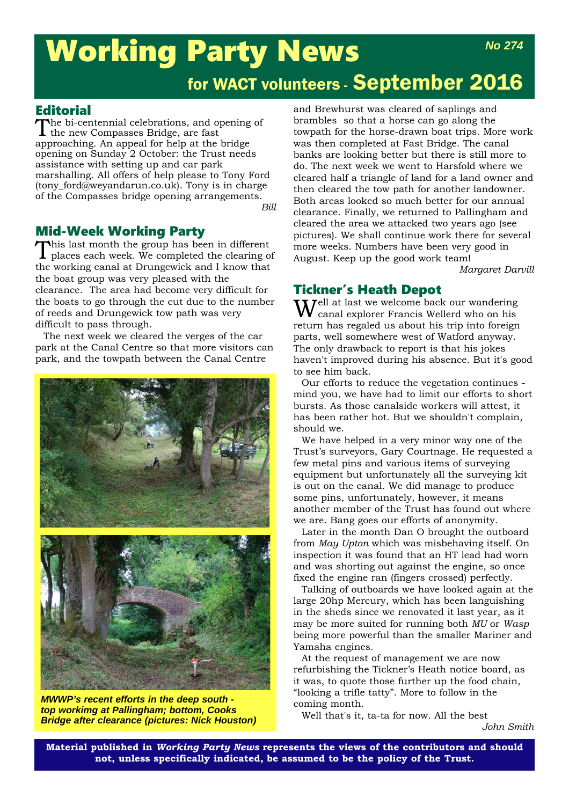# Working Party News *No 274*

# for WACT volunteers - September 2016

**Editorial**<br>The bi-centennial celebrations, and opening of The bi-centennial celebrations, and opening of the new Compasses Bridge, are fast approaching. An appeal for help at the bridge opening on Sunday 2 October: the Trust needs assistance with setting up and car park marshalling. All offers of help please to Tony Ford (tony\_ford@weyandarun.co.uk). Tony is in charge of the Compasses bridge opening arrangements.

*Bill*

#### Mid-Week Working Party

This last month the group has been in different places each week. We completed the clearing of the working canal at Drungewick and I know that the boat group was very pleased with the clearance. The area had become very difficult for the boats to go through the cut due to the number of reeds and Drungewick tow path was very difficult to pass through.

The next week we cleared the verges of the car park at the Canal Centre so that more visitors can park, and the towpath between the Canal Centre



*MWWP's recent efforts in the deep south top workimg at Pallingham; bottom, Cooks Bridge after clearance (pictures: Nick Houston)*

and Brewhurst was cleared of saplings and brambles so that a horse can go along the towpath for the horse-drawn boat trips. More work was then completed at Fast Bridge. The canal banks are looking better but there is still more to do. The next week we went to Harsfold where we cleared half a triangle of land for a land owner and then cleared the tow path for another landowner. Both areas looked so much better for our annual clearance. Finally, we returned to Pallingham and cleared the area we attacked two years ago (see pictures). We shall continue work there for several more weeks. Numbers have been very good in August. Keep up the good work team!

*Margaret Darvill*

#### Tickner's Heath Depot

 $\mathbf{W}$ ell at last we welcome back our wandering canal explorer Francis Wellerd who on his return has regaled us about his trip into foreign parts, well somewhere west of Watford anyway. The only drawback to report is that his jokes haven't improved during his absence. But it's good to see him back.

Our efforts to reduce the vegetation continues mind you, we have had to limit our efforts to short bursts. As those canalside workers will attest, it has been rather hot. But we shouldn't complain, should we.

We have helped in a very minor way one of the Trust's surveyors, Gary Courtnage. He requested a few metal pins and various items of surveying equipment but unfortunately all the surveying kit is out on the canal. We did manage to produce some pins, unfortunately, however, it means another member of the Trust has found out where we are. Bang goes our efforts of anonymity.

Later in the month Dan O brought the outboard from *May Upton* which was misbehaving itself. On inspection it was found that an HT lead had worn and was shorting out against the engine, so once fixed the engine ran (fingers crossed) perfectly.

Talking of outboards we have looked again at the large 20hp Mercury, which has been languishing in the sheds since we renovated it last year, as it may be more suited for running both *MU* or *Wasp* being more powerful than the smaller Mariner and Yamaha engines.

At the request of management we are now refurbishing the Tickner's Heath notice board, as it was, to quote those further up the food chain, "looking a trifle tatty". More to follow in the coming month.

Well that's it, ta-ta for now. All the best

**Material published in** *Working Party News* **represents the views of the contributors and should not, unless specifically indicated, be assumed to be the policy of the Trust.**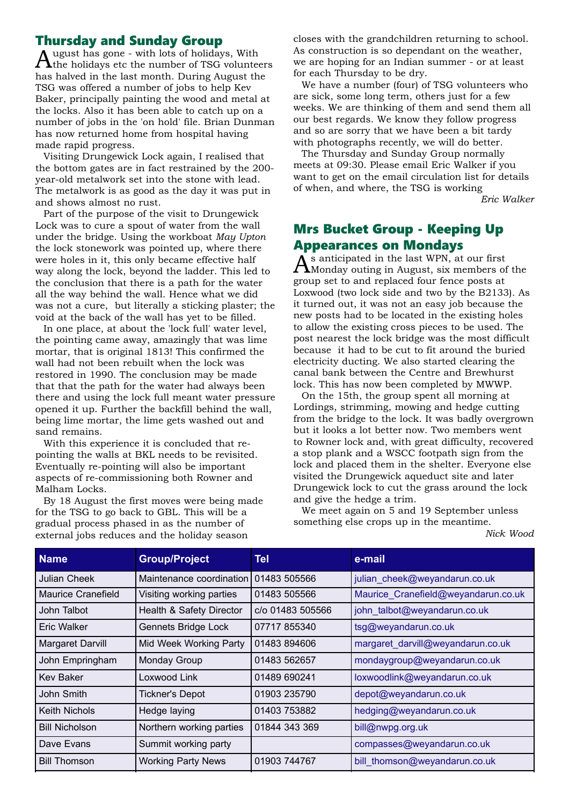#### Thursday and Sunday Group

ugust has gone - with lots of holidays, With  $\boldsymbol{\varLambda}$ the holidays etc the number of TSG volunteers has halved in the last month. During August the TSG was offered a number of jobs to help Kev Baker, principally painting the wood and metal at the locks. Also it has been able to catch up on a number of jobs in the 'on hold' file. Brian Dunman has now returned home from hospital having made rapid progress.

Visiting Drungewick Lock again, I realised that the bottom gates are in fact restrained by the 200 year-old metalwork set into the stone with lead. The metalwork is as good as the day it was put in and shows almost no rust.

Part of the purpose of the visit to Drungewick Lock was to cure a spout of water from the wall under the bridge. Using the workboat *May Upton* the lock stonework was pointed up, where there were holes in it, this only became effective half way along the lock, beyond the ladder. This led to the conclusion that there is a path for the water all the way behind the wall. Hence what we did was not a cure, but literally a sticking plaster; the void at the back of the wall has yet to be filled.

In one place, at about the 'lock full' water level, the pointing came away, amazingly that was lime mortar, that is original 1813! This confirmed the wall had not been rebuilt when the lock was restored in 1990. The conclusion may be made that that the path for the water had always been there and using the lock full meant water pressure opened it up. Further the backfill behind the wall, being lime mortar, the lime gets washed out and sand remains.

With this experience it is concluded that repointing the walls at BKL needs to be revisited. Eventually re-pointing will also be important aspects of re-commissioning both Rowner and Malham Locks.

By 18 August the first moves were being made for the TSG to go back to GBL. This will be a gradual process phased in as the number of external jobs reduces and the holiday season

closes with the grandchildren returning to school. As construction is so dependant on the weather, we are hoping for an Indian summer - or at least for each Thursday to be dry.

We have a number (four) of TSG volunteers who are sick, some long term, others just for a few weeks. We are thinking of them and send them all our best regards. We know they follow progress and so are sorry that we have been a bit tardy with photographs recently, we will do better.

The Thursday and Sunday Group normally meets at 09:30. Please email Eric Walker if you want to get on the email circulation list for details of when, and where, the TSG is working

*Eric Walker*

## Mrs Bucket Group - Keeping Up **Appearances on Mondays**<br> $\Lambda$  s anticipated in the last WPN, at our first

 $\tilde{A}^{\rm s}$  anticipated in the last WPN, at our first<br>Monday outing in August, six members of the group set to and replaced four fence posts at Loxwood (two lock side and two by the B2133). As it turned out, it was not an easy job because the new posts had to be located in the existing holes to allow the existing cross pieces to be used. The post nearest the lock bridge was the most difficult because it had to be cut to fit around the buried electricity ducting. We also started clearing the canal bank between the Centre and Brewhurst lock. This has now been completed by MWWP.

On the 15th, the group spent all morning at Lordings, strimming, mowing and hedge cutting from the bridge to the lock. It was badly overgrown but it looks a lot better now. Two members went to Rowner lock and, with great difficulty, recovered a stop plank and a WSCC footpath sign from the lock and placed them in the shelter. Everyone else visited the Drungewick aqueduct site and later Drungewick lock to cut the grass around the lock and give the hedge a trim.

We meet again on 5 and 19 September unless something else crops up in the meantime.

*Nick Wood*

| <b>Name</b>             | <b>Group/Project</b>      | Tel              | e-mail                              |
|-------------------------|---------------------------|------------------|-------------------------------------|
| <b>Julian Cheek</b>     | Maintenance coordination  | 01483 505566     | julian cheek@weyandarun.co.uk       |
| Maurice Cranefield      | Visiting working parties  | 01483 505566     | Maurice_Cranefield@weyandarun.co.uk |
| John Talbot             | Health & Safety Director  | c/o 01483 505566 | john_talbot@weyandarun.co.uk        |
| <b>Eric Walker</b>      | Gennets Bridge Lock       | 07717855340      | tsg@weyandarun.co.uk                |
| <b>Margaret Darvill</b> | Mid Week Working Party    | 01483 894606     | margaret_darvill@weyandarun.co.uk   |
| John Empringham         | <b>Monday Group</b>       | 01483 562657     | mondaygroup@weyandarun.co.uk        |
| <b>Kev Baker</b>        | Loxwood Link              | 01489 690241     | loxwoodlink@weyandarun.co.uk        |
| John Smith              | <b>Tickner's Depot</b>    | 01903 235790     | depot@weyandarun.co.uk              |
| <b>Keith Nichols</b>    | Hedge laying              | 01403 753882     | hedging@weyandarun.co.uk            |
| <b>Bill Nicholson</b>   | Northern working parties  | 01844 343 369    | bill@nwpg.org.uk                    |
| Dave Evans              | Summit working party      |                  | compasses@weyandarun.co.uk          |
| <b>Bill Thomson</b>     | <b>Working Party News</b> | 01903 744767     | bill thomson@weyandarun.co.uk       |